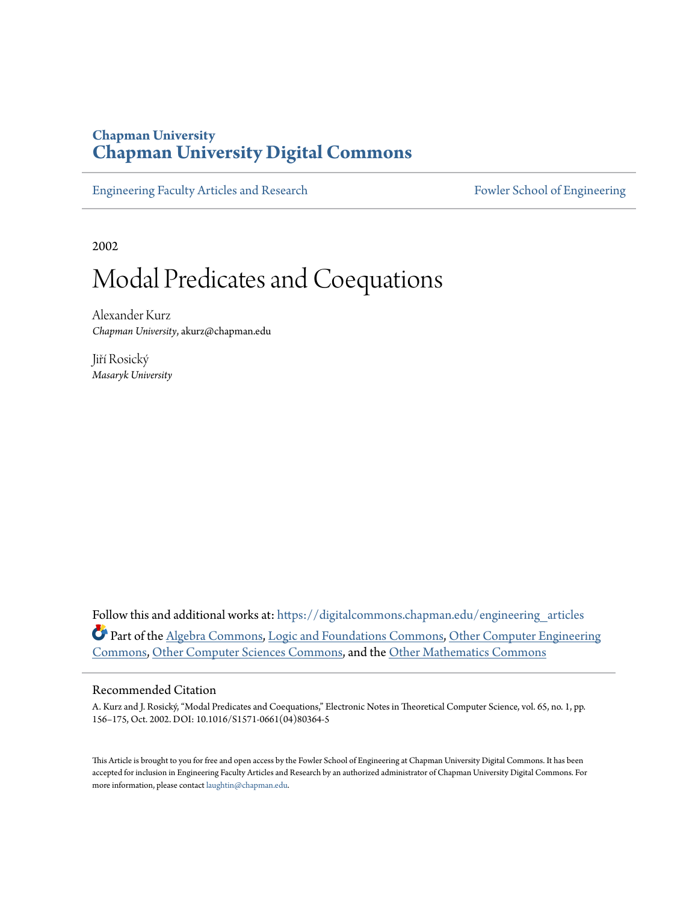## **Chapman University [Chapman University Digital Commons](https://digitalcommons.chapman.edu?utm_source=digitalcommons.chapman.edu%2Fengineering_articles%2F32&utm_medium=PDF&utm_campaign=PDFCoverPages)**

[Engineering Faculty Articles and Research](https://digitalcommons.chapman.edu/engineering_articles?utm_source=digitalcommons.chapman.edu%2Fengineering_articles%2F32&utm_medium=PDF&utm_campaign=PDFCoverPages) [Fowler School of Engineering](https://digitalcommons.chapman.edu/fowler_engineering?utm_source=digitalcommons.chapman.edu%2Fengineering_articles%2F32&utm_medium=PDF&utm_campaign=PDFCoverPages)

2002

# Modal Predicates and Coequations

Alexander Kurz *Chapman University*, akurz@chapman.edu

Jiří Rosický *Masaryk University*

Follow this and additional works at: [https://digitalcommons.chapman.edu/engineering\\_articles](https://digitalcommons.chapman.edu/engineering_articles?utm_source=digitalcommons.chapman.edu%2Fengineering_articles%2F32&utm_medium=PDF&utm_campaign=PDFCoverPages) Part of the [Algebra Commons,](http://network.bepress.com/hgg/discipline/175?utm_source=digitalcommons.chapman.edu%2Fengineering_articles%2F32&utm_medium=PDF&utm_campaign=PDFCoverPages) [Logic and Foundations Commons](http://network.bepress.com/hgg/discipline/182?utm_source=digitalcommons.chapman.edu%2Fengineering_articles%2F32&utm_medium=PDF&utm_campaign=PDFCoverPages), [Other Computer Engineering](http://network.bepress.com/hgg/discipline/265?utm_source=digitalcommons.chapman.edu%2Fengineering_articles%2F32&utm_medium=PDF&utm_campaign=PDFCoverPages) [Commons,](http://network.bepress.com/hgg/discipline/265?utm_source=digitalcommons.chapman.edu%2Fengineering_articles%2F32&utm_medium=PDF&utm_campaign=PDFCoverPages) [Other Computer Sciences Commons,](http://network.bepress.com/hgg/discipline/152?utm_source=digitalcommons.chapman.edu%2Fengineering_articles%2F32&utm_medium=PDF&utm_campaign=PDFCoverPages) and the [Other Mathematics Commons](http://network.bepress.com/hgg/discipline/185?utm_source=digitalcommons.chapman.edu%2Fengineering_articles%2F32&utm_medium=PDF&utm_campaign=PDFCoverPages)

#### Recommended Citation

A. Kurz and J. Rosický, "Modal Predicates and Coequations," Electronic Notes in Theoretical Computer Science, vol. 65, no. 1, pp. 156–175, Oct. 2002. DOI: 10.1016/S1571-0661(04)80364-5

This Article is brought to you for free and open access by the Fowler School of Engineering at Chapman University Digital Commons. It has been accepted for inclusion in Engineering Faculty Articles and Research by an authorized administrator of Chapman University Digital Commons. For more information, please contact [laughtin@chapman.edu](mailto:laughtin@chapman.edu).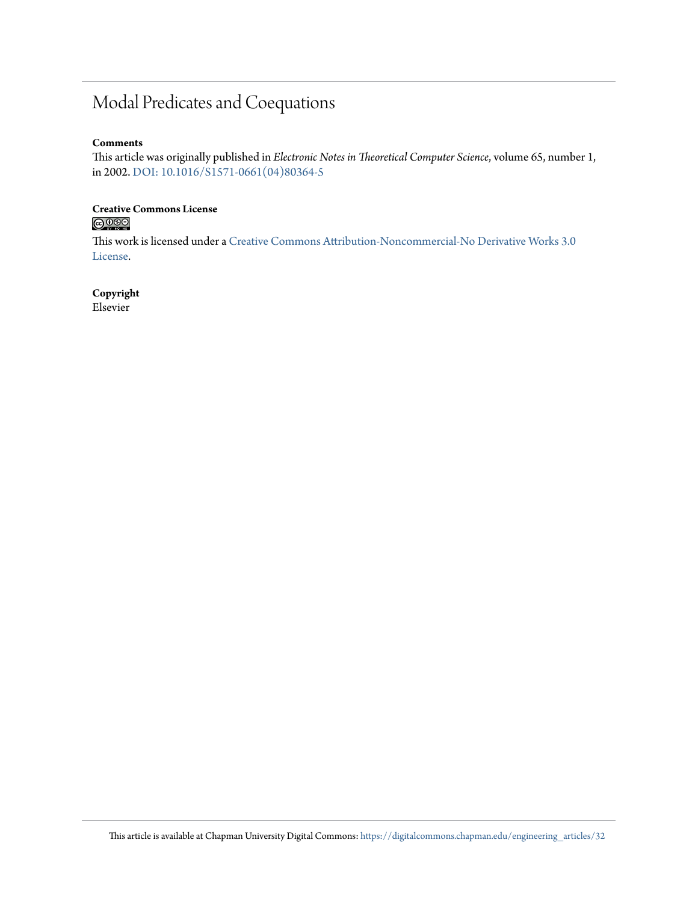## Modal Predicates and Coequations

#### **Comments**

This article was originally published in *Electronic Notes in Theoretical Computer Science*, volume 65, number 1, in 2002. [DOI: 10.1016/S1571-0661\(04\)80364-5](https://doi.org/10.1016/S1571-0661(04)80364-5)

# Creative Commons License<br> **COOSO**

This work is licensed under a [Creative Commons Attribution-Noncommercial-No Derivative Works 3.0](https://creativecommons.org/licenses/by-nc-nd/3.0/) [License.](https://creativecommons.org/licenses/by-nc-nd/3.0/)

#### **Copyright**

Elsevier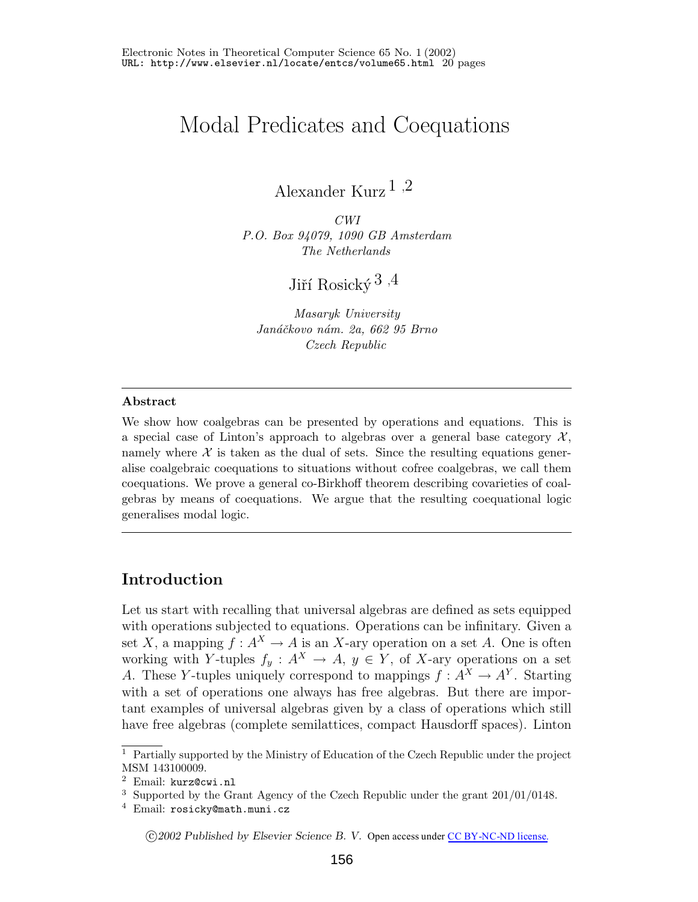## Modal Predicates and Coequations

Alexander Kurz [1](#page-2-0) ,[2](#page-2-0)

*CWI P.O. Box 94079, 1090 GB Amsterdam The Netherlands*

Jiří $\mathrm{Rosick}\acute{\mathrm{v}}\,{}^3$  $\mathrm{Rosick}\acute{\mathrm{v}}\,{}^3$  ,<br/>[4](#page-2-0)

*MasarykUniversity Jan´aˇckovo n´am. 2a, 662 95 Brno Czech Republic*

#### <span id="page-2-0"></span>**Abstract**

We show how coalgebras can be presented by operations and equations. This is a special case of Linton's approach to algebras over a general base category  $\mathcal{X},$ namely where  $X$  is taken as the dual of sets. Since the resulting equations generalise coalgebraic coequations to situations without cofree coalgebras, we call them coequations. We prove a general co-Birkhoff theorem describing covarieties of coalgebras by means of coequations. We argue that the resulting coequational logic generalises modal logic.

## **Introduction**

Let us start with recalling that universal algebras are defined as sets equipped with operations subjected to equations. Operations can be infinitary. Given a set X, a mapping  $f : A^X \to A$  is an X-ary operation on a set A. One is often working with Y-tuples  $f_y: A^X \to A$ ,  $y \in Y$ , of X-ary operations on a set A. These Y-tuples uniquely correspond to mappings  $f: A^X \to A^Y$ . Starting with a set of operations one always has free algebras. But there are important examples of universal algebras given by a class of operations which still have free algebras (complete semilattices, compact Hausdorff spaces). Linton

c *2002 Published by Elsevier Science B. V.* Open access under [CC BY-NC-ND license.](http://creativecommons.org/licenses/by-nc-nd/3.0/)

 $1$  Partially supported by the Ministry of Education of the Czech Republic under the project MSM 143100009.

<sup>2</sup> Email: [kurz@cwi.nl](mailto:kurz@cwi.nl)

<sup>3</sup> Supported by the Grant Agency of the Czech Republic under the grant 201/01/0148.

<sup>4</sup> Email: [rosicky@math.muni.cz](mailto:rosicky@math.muni.cz)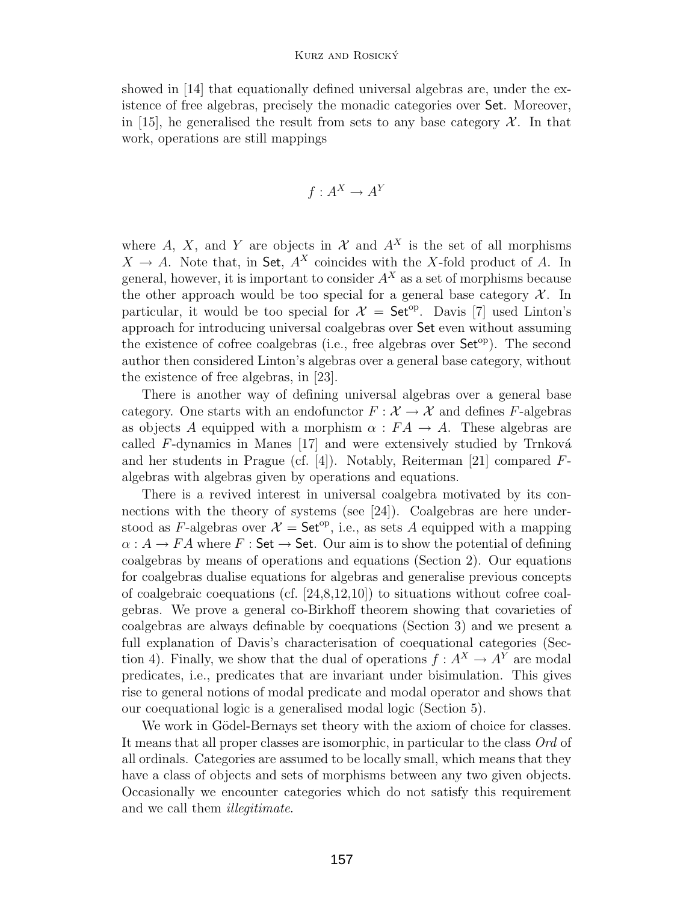#### Kurz and Rosicky´

showed in [\[14\]](#page-20-0) that equationally defined universal algebras are, under the existence of free algebras, precisely the monadic categories over Set. Moreover, in [\[15\]](#page-20-1), he generalised the result from sets to any base category  $\mathcal{X}$ . In that work, operations are still mappings

$$
f: A^X \to A^Y
$$

where A, X, and Y are objects in  $\mathcal X$  and  $A^X$  is the set of all morphisms  $X \to A$ . Note that, in Set,  $A^X$  coincides with the X-fold product of A. In general, however, it is important to consider  $A<sup>X</sup>$  as a set of morphisms because the other approach would be too special for a general base category  $\mathcal{X}$ . In particular, it would be too special for  $\mathcal{X} = \mathsf{Set}^{op}$ . Davis [\[7\]](#page-20-2) used Linton's approach for introducing universal coalgebras over Set even without assuming the existence of cofree coalgebras (i.e., free algebras over  $Set<sup>op</sup>$ ). The second author then considered Linton's algebras over a general base category, without the existence of free algebras, in [\[23\]](#page-21-0).

There is another way of defining universal algebras over a general base category. One starts with an endofunctor  $F : \mathcal{X} \to \mathcal{X}$  and defines F-algebras as objects A equipped with a morphism  $\alpha : FA \to A$ . These algebras are called  $F$ -dynamics in Manes [\[17\]](#page-20-3) and were extensively studied by Trnková and her students in Prague (cf. [\[4\]](#page-20-4)). Notably, Reiterman [\[21\]](#page-21-1) compared Falgebras with algebras given by operations and equations.

There is a revived interest in universal coalgebra motivated by its connections with the theory of systems (see [\[24\]](#page-21-2)). Coalgebras are here understood as F-algebras over  $\mathcal{X} = \mathsf{Set}^{\mathrm{op}}$ , i.e., as sets A equipped with a mapping  $\alpha: A \to FA$  where  $F:$  Set  $\to$  Set. Our aim is to show the potential of defining coalgebras by means of operations and equations (Section [2\)](#page-6-0). Our equations for coalgebras dualise equations for algebras and generalise previous concepts of coalgebraic coequations (cf.  $[24,8,12,10]$  $[24,8,12,10]$  $[24,8,12,10]$  $[24,8,12,10]$ ) to situations without cofree coalgebras. We prove a general co-Birkhoff theorem showing that covarieties of coalgebras are always definable by coequations (Section [3\)](#page-9-0) and we present a full explanation of Davis's characterisation of coequational categories (Sec-tion [4\)](#page-12-0). Finally, we show that the dual of operations  $f : A^X \to A^Y$  are modal predicates, i.e., predicates that are invariant under bisimulation. This gives rise to general notions of modal predicate and modal operator and shows that our coequational logic is a generalised modal logic (Section [5\)](#page-14-0).

We work in Gödel-Bernays set theory with the axiom of choice for classes. It means that all proper classes are isomorphic, in particular to the class Ord of all ordinals. Categories are assumed to be locally small, which means that they have a class of objects and sets of morphisms between any two given objects. Occasionally we encounter categories which do not satisfy this requirement and we call them illegitimate.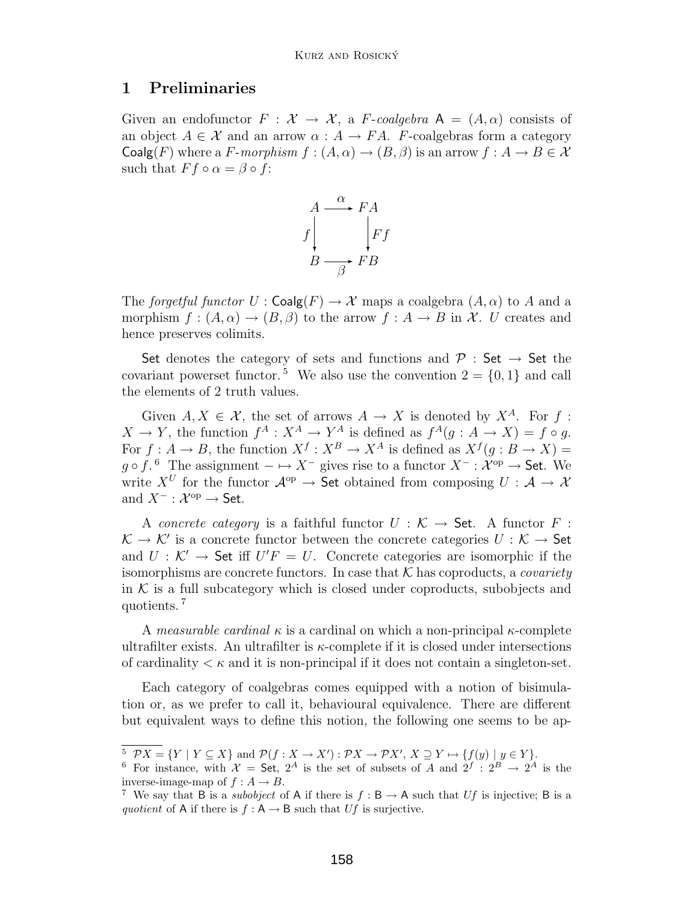#### <span id="page-4-3"></span>**1 Preliminaries**

Given an endofunctor  $F : \mathcal{X} \to \mathcal{X}$ , a F-coalgebra  $A = (A, \alpha)$  consists of an object  $A \in \mathcal{X}$  and an arrow  $\alpha : A \to FA$ . F-coalgebras form a category Coalg(F) where a F-morphism  $f : (A, \alpha) \to (B, \beta)$  is an arrow  $f : A \to B \in \mathcal{X}$ such that  $F f \circ \alpha = \beta \circ f$ :



The forgetful functor  $U : \mathsf{Coalg}(F) \to \mathcal{X}$  maps a coalgebra  $(A, \alpha)$  to A and a morphism  $f : (A, \alpha) \to (B, \beta)$  to the arrow  $f : A \to B$  in X. U creates and hence preserves colimits.

Set denotes the category of sets and functions and  $\mathcal{P}$  : Set  $\rightarrow$  Set the covariant powerset functor.<sup>[5](#page-4-0)</sup> We also use the convention  $2 = \{0, 1\}$  and call the elements of 2 truth values.

Given  $A, X \in \mathcal{X}$ , the set of arrows  $A \to X$  is denoted by  $X^A$ . For f:  $X \to Y$ , the function  $f^A: X^A \to Y^A$  is defined as  $f^A(g: A \to X) = f \circ g$ . For  $f: A \to B$ , the function  $X^f: X^B \to X^A$  is defined as  $X^f(g: B \to X)$  $g \circ f$ . <sup>[6](#page-4-1)</sup> The assignment  $-\mapsto X^-$  gives rise to a functor  $X^- : \mathcal{X}^{op} \to \mathsf{Set}$ . We write  $X^U$  for the functor  $A^{op} \to \mathsf{Set}$  obtained from composing  $U : A \to \mathcal{X}$ write  $X^U$  for the functor  $\mathcal{A}^{op} \to$  Set obtained from composing  $U : \mathcal{A} \to \mathcal{X}$ and  $X^- : \mathcal{X}^{op} \to$  Set.

A concrete category is a faithful functor  $U : \mathcal{K} \to \mathsf{Set}$ . A functor  $F :$  $\mathcal{K} \to \mathcal{K}'$  is a concrete functor between the concrete categories  $U : \mathcal{K} \to$  Set  $U : \mathcal{K}' \to$  Set iff  $U'F = U$ . Concrete categories are isomorphic if the and  $U: \mathcal{K}' \to \mathsf{Set}$  iff  $U'F = U$ . Concrete categories are isomorphic if the isomorphisms are concrete functors. In case that  $\mathcal{K}$  has conreducts a coveriety isomorphisms are concrete functors. In case that  $K$  has coproducts, a *covariety* in  $K$  is a full subcategory which is closed under coproducts, subobjects and quotients. [7](#page-4-2)

A measurable cardinal  $\kappa$  is a cardinal on which a non-principal  $\kappa$ -complete ultrafilter exists. An ultrafilter is  $\kappa$ -complete if it is closed under intersections of cardinality  $\lt \kappa$  and it is non-principal if it does not contain a singleton-set.

Each category of coalgebras comes equipped with a notion of bisimulation or, as we prefer to call it, behavioural equivalence. There are different but equivalent ways to define this notion, the following one seems to be ap-

 $5 \ \mathcal{P}X = \{ Y \mid Y \subseteq X \}$  and  $\mathcal{P}(f : X \to X') : \mathcal{P}X \to \mathcal{P}X', X \supseteq Y \mapsto \{ f(y) \mid y \in Y \}.$ 

<span id="page-4-1"></span><span id="page-4-0"></span><sup>&</sup>lt;sup>6</sup> For instance, with  $\mathcal{X} =$  Set,  $2^A$  is the set of subsets of A and  $2^f : 2^B \rightarrow 2^A$  is the inverse-image-map of  $f : A \rightarrow B$ .

<span id="page-4-2"></span><sup>&</sup>lt;sup>7</sup> We say that B is a *subobject* of A if there is  $f : B \to A$  such that Uf is injective; B is a *quotient* of A if there is  $f : A \rightarrow B$  such that Uf is surjective.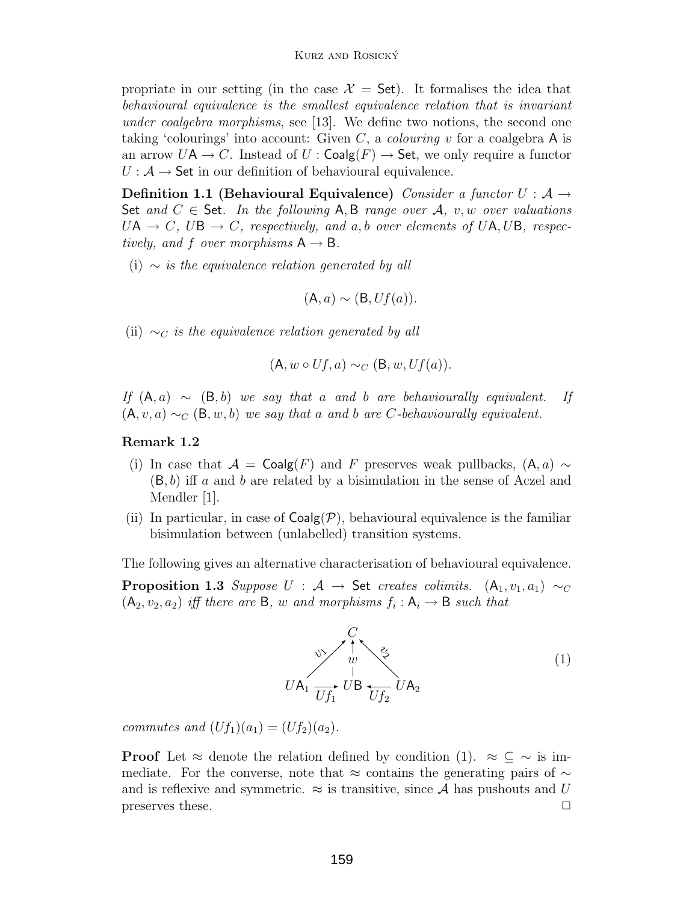propriate in our setting (in the case  $\mathcal{X} =$  Set). It formalises the idea that behavioural equivalence is the smallest equivalence relation that is invariant under coalgebra morphisms, see [\[13\]](#page-20-8). We define two notions, the second one taking 'colourings' into account: Given C, a *colouring* v for a coalgebra A is an arrow  $U\mathsf{A} \to C$ . Instead of  $U : \mathsf{Coalg}(F) \to \mathsf{Set}$ , we only require a functor  $U: \mathcal{A} \rightarrow$  Set in our definition of behavioural equivalence.

<span id="page-5-1"></span>**Definition 1.1 (Behavioural Equivalence)** Consider a functor  $U : A \rightarrow$ Set and  $C \in$  Set. In the following A, B range over A, v, w over valuations  $UA \rightarrow C$ ,  $UB \rightarrow C$ , respectively, and a, b over elements of UA, UB, respectively, and f over morphisms  $A \rightarrow B$ .

(i)  $\sim$  is the equivalence relation generated by all

$$
(\mathsf{A},a)\sim (\mathsf{B},Uf(a)).
$$

(ii)  $\sim_C$  is the equivalence relation generated by all

$$
(\mathsf{A}, w \circ Uf, a) \sim_C (\mathsf{B}, w, Uf(a)).
$$

If  $(A, a) \sim (B, b)$  we say that a and b are behaviourally equivalent. If  $(A, v, a) \sim_C (B, w, b)$  we say that a and b are C-behaviourally equivalent.

#### **Remark 1.2**

- (i) In case that  $\mathcal{A} = \mathsf{Coalg}(F)$  and F preserves weak pullbacks,  $(A, a) \sim$  $(B, b)$  iff a and b are related by a bisimulation in the sense of Aczel and Mendler |1|.
- (ii) In particular, in case of  $Coalg(\mathcal{P})$ , behavioural equivalence is the familiar bisimulation between (unlabelled) transition systems.

<span id="page-5-2"></span>The following gives an alternative characterisation of behavioural equivalence.

**Proposition 1.3** Suppose  $U : A \rightarrow$  Set creates colimits.  $(A_1, v_1, a_1) \sim_C$  $(A_2, v_2, a_2)$  iff there are B, w and morphisms  $f_i : A_i \rightarrow B$  such that

<span id="page-5-0"></span>

commutes and  $(Uf_1)(a_1)=(Uf_2)(a_2)$ .

**Proof** Let  $\approx$  denote the relation defined by condition [\(1\)](#page-5-0).  $\approx \subseteq \sim$  is immediate. For the converse, note that ≈ contains the generating pairs of  $\sim$ and is reflexive and symmetric.  $\approx$  is transitive, since A has pushouts and U preserves these.  $\Box$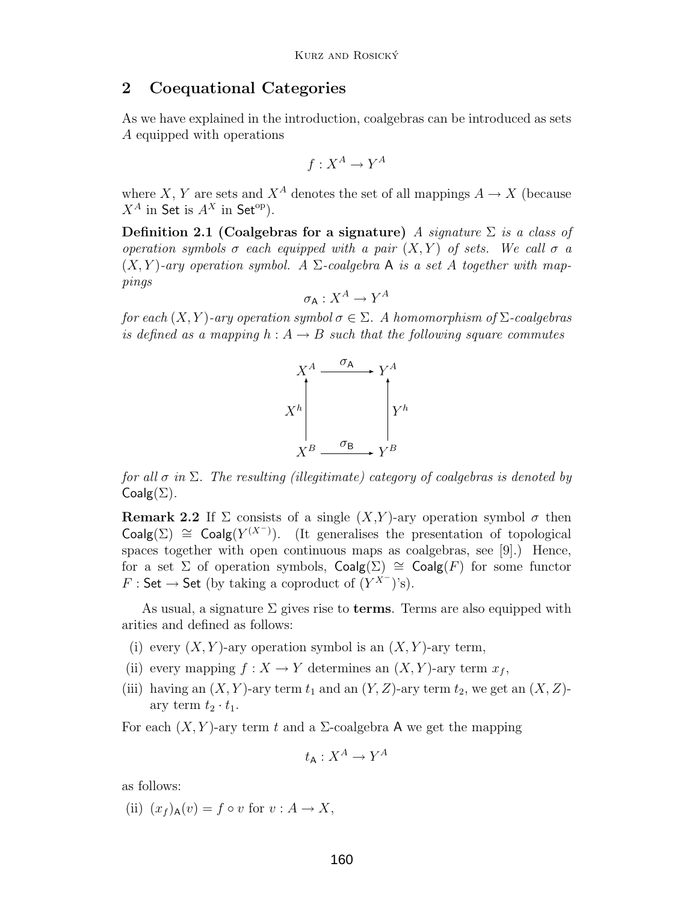### <span id="page-6-0"></span>**2 Coequational Categories**

As we have explained in the introduction, coalgebras can be introduced as sets A equipped with operations

$$
f: X^A \to Y^A
$$

where X, Y are sets and  $X^A$  denotes the set of all mappings  $A \to X$  (because  $X^A$  in Set is  $A^X$  in Set<sup>op</sup>).

**Definition 2.1 (Coalgebras for a signature)** A signature  $\Sigma$  is a class of operation symbols  $\sigma$  each equipped with a pair  $(X, Y)$  of sets. We call  $\sigma$  a  $(X, Y)$ -ary operation symbol. A  $\Sigma$ -coalgebra A is a set A together with mappings

$$
\sigma_{\mathsf{A}} : X^A \to Y^A
$$

for each  $(X, Y)$ -ary operation symbol  $\sigma \in \Sigma$ . A homomorphism of  $\Sigma$ -coalgebras is defined as a mapping  $h: A \rightarrow B$  such that the following square commutes



for all  $\sigma$  in  $\Sigma$ . The resulting (illegitimate) category of coalgebras is denoted by  $Coalg(\Sigma)$ .

**Remark 2.2** If  $\Sigma$  consists of a single  $(X,Y)$ -ary operation symbol  $\sigma$  then Coalg( $\Sigma$ )  $\cong$  Coalg( $Y^{(X^-)}$ ). (It generalises the presentation of topological<br>spaces together with open continuous maps as coalgebras, see [0]). Hence spaces together with open continuous maps as coalgebras, see [\[9\]](#page-20-9).) Hence, for a set  $\Sigma$  of operation symbols,  $Coalg(\Sigma) \cong Coalg(F)$  for some functor  $F : \mathsf{Set} \to \mathsf{Set}$  (by taking a coproduct of  $(Y^{X-})$ 's).

As usual, a signature  $\Sigma$  gives rise to **terms**. Terms are also equipped with arities and defined as follows:

- (i) every  $(X, Y)$ -ary operation symbol is an  $(X, Y)$ -ary term,
- (ii) every mapping  $f : X \to Y$  determines an  $(X, Y)$ -ary term  $x_f$ ,
- (iii) having an  $(X, Y)$ -ary term  $t_1$  and an  $(Y, Z)$ -ary term  $t_2$ , we get an  $(X, Z)$ ary term  $t_2 \cdot t_1$ .

For each  $(X, Y)$ -ary term t and a  $\Sigma$ -coalgebra A we get the mapping

$$
t_{\mathsf{A}} : X^A \to Y^A
$$

as follows:

(ii)  $(x_f)_{\mathsf{A}}(v) = f \circ v$  for  $v : A \to X$ ,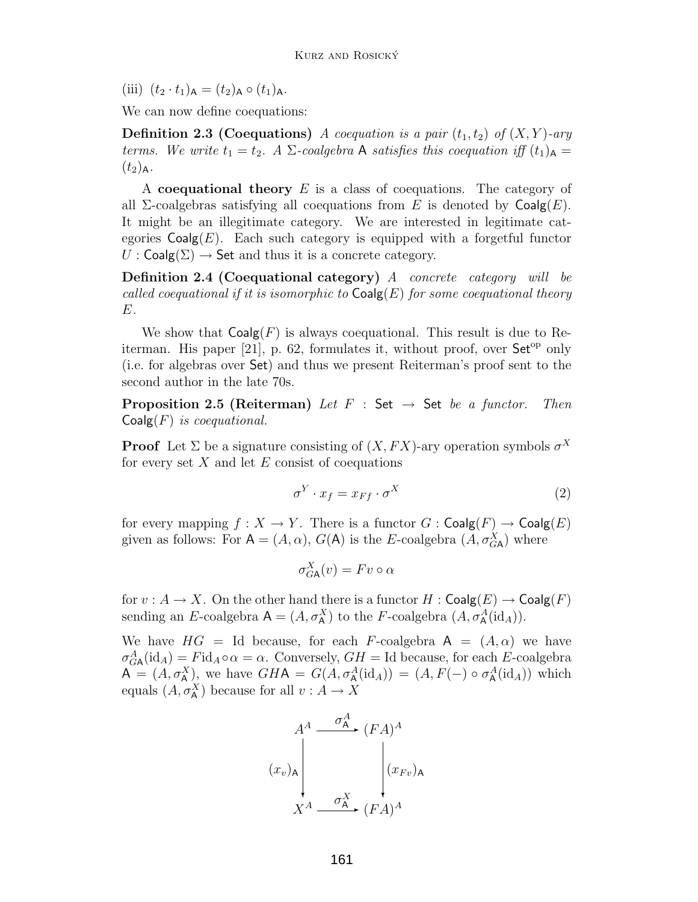(iii)  $(t_2 \tcdot t_1)_{\mathsf{A}} = (t_2)_{\mathsf{A}} \circ (t_1)_{\mathsf{A}}.$ 

We can now define coequations:

**Definition 2.3 (Coequations)** A coequation is a pair  $(t_1, t_2)$  of  $(X, Y)$ -ary terms. We write  $t_1 = t_2$ . A  $\Sigma$ -coalgebra A satisfies this coequation iff  $(t_1)_{\mathsf{A}} =$  $(t_2)_{\rm A}$ .

A **coequational theory** E is a class of coequations. The category of all  $\Sigma$ -coalgebras satisfying all coequations from E is denoted by  $\mathsf{Coalg}(E)$ . It might be an illegitimate category. We are interested in legitimate categories  $Coalg(E)$ . Each such category is equipped with a forgetful functor  $U : \mathsf{Coalg}(\Sigma) \to \mathsf{Set}$  and thus it is a concrete category.

**Definition 2.4 (Coequational category)** A concrete category will be called coequational if it is isomorphic to  $\mathsf{Coalg}(E)$  for some coequational theory E.

We show that  $Coalg(F)$  is always coequational. This result is due to Re-iterman. His paper [\[21\]](#page-21-1), p. 62, formulates it, without proof, over  $\mathsf{Set}^{\mathrm{op}}$  only (i.e. for algebras over Set) and thus we present Reiterman's proof sent to the second author in the late 70s.

<span id="page-7-1"></span>**Proposition 2.5 (Reiterman)** Let  $F : Set \rightarrow Set$  be a functor. Then  $Coalg(F)$  is coequational.

**Proof** Let  $\Sigma$  be a signature consisting of  $(X, FX)$ -ary operation symbols  $\sigma^X$ for every set  $X$  and let  $E$  consist of coequations

<span id="page-7-0"></span>
$$
\sigma^Y \cdot x_f = x_{Ff} \cdot \sigma^X \tag{2}
$$

for every mapping  $f : X \to Y$ . There is a functor  $G : \mathsf{Coalg}(F) \to \mathsf{Coalg}(E)$ given as follows: For  $A = (A, \alpha)$ ,  $G(A)$  is the E-coalgebra  $(A, \sigma_{GA}^X)$  where

$$
\sigma_{G\mathsf{A}}^X(v) = Fv \circ \alpha
$$

for  $v : A \to X$ . On the other hand there is a functor  $H : \mathsf{Coalg}(E) \to \mathsf{Coalg}(F)$ sending an E-coalgebra  $A = (A, \sigma_A^X)$  to the F-coalgebra  $(A, \sigma_A^A(\text{id}_A))$ .

We have  $HG = Id$  because, for each F-coalgebra  $A = (A, \alpha)$  we have  $\sigma_{GA}^A(\text{id}_A) = F \text{id}_A \circ \alpha = \alpha$ . Conversely,  $GH = \text{Id}$  because, for each E-coalgebra  $A = (A, \sigma_A^X)$ , we have  $GHA = G(A, \sigma_A^A(\text{id}_A)) = (A, F(-) \circ \sigma_A^A(\text{id}_A))$  which equals  $(A, \sigma_A^X)$  because for all  $v : A \to X$ 

$$
(x_v)_A \begin{matrix} & & \sigma_A^A & & \\ & & & (FA)^A & \\ & & & & \\ & & & & \\ & & & & \\ & & X^A & & \\ & & & & (FA)^A & \\ & & & & & \end{matrix}
$$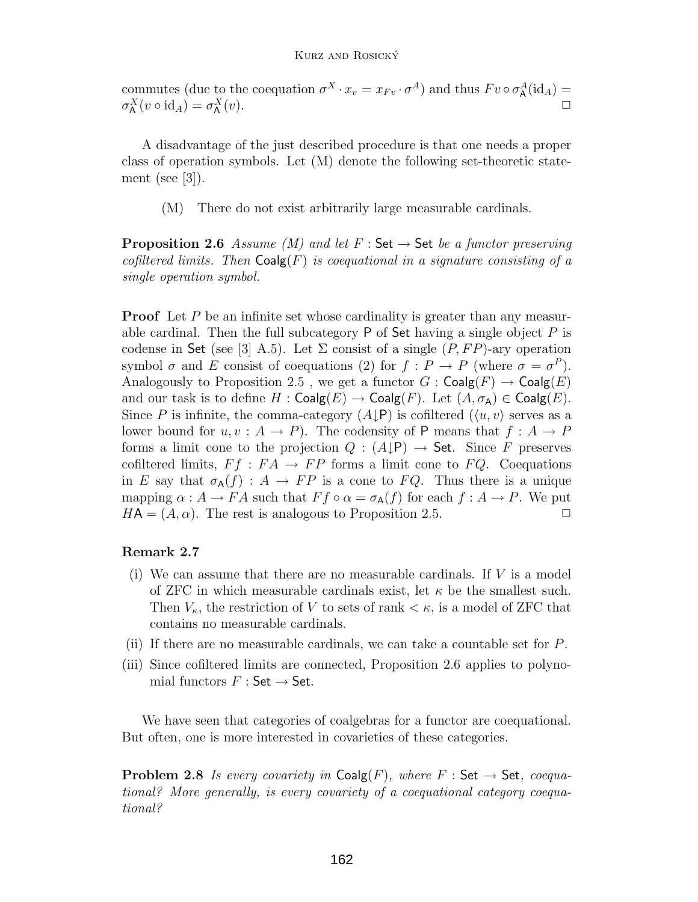#### Kurz and Rosicky´

commutes (due to the coequation  $\sigma^X \cdot x_v = x_{Fv} \cdot \sigma^A$ ) and thus  $Fv \circ \sigma^A_A(\text{id}_A) =$  $\sigma_A^X(v \circ \mathrm{id}_A) = \sigma_A^X$  $\Delta^X(x)$ .

A disadvantage of the just described procedure is that one needs a proper class of operation symbols. Let (M) denote the following set-theoretic statement (see [\[3\]](#page-19-1)).

(M) There do not exist arbitrarily large measurable cardinals.

<span id="page-8-0"></span>**Proposition 2.6** Assume (M) and let  $F : Set \rightarrow Set$  be a functor preserving cofiltered limits. Then  $\mathsf{Coalg}(F)$  is coequational in a signature consisting of a single operation symbol.

**Proof** Let P be an infinite set whose cardinality is greater than any measurable cardinal. Then the full subcategory  $P$  of Set having a single object  $P$  is codense in Set (see [\[3\]](#page-19-1) A.5). Let  $\Sigma$  consist of a single  $(P, FP)$ -ary operation symbol  $\sigma$  and E consist of coequations [\(2\)](#page-7-0) for  $f : P \to P$  (where  $\sigma = \sigma^P$ ). Analogously to Proposition [2.5](#page-7-1), we get a functor  $G : \mathsf{Coalg}(F) \to \mathsf{Coalg}(E)$ and our task is to define  $H : \mathsf{Coalg}(E) \to \mathsf{Coalg}(F)$ . Let  $(A, \sigma_A) \in \mathsf{Coalg}(E)$ . Since P is infinite, the comma-category  $(A \downarrow P)$  is cofiltered  $(\langle u, v \rangle)$  serves as a lower bound for  $u, v : A \to P$ ). The codensity of P means that  $f : A \to P$ forms a limit cone to the projection  $Q : (A \downarrow P) \rightarrow$  Set. Since F preserves cofiltered limits,  $F f : F A \to F P$  forms a limit cone to  $F Q$ . Coequations in E say that  $\sigma_A(f) : A \to FP$  is a cone to FQ. Thus there is a unique mapping  $\alpha : A \to FA$  such that  $Ff \circ \alpha = \sigma_{A}(f)$  for each  $f : A \to P$ . We put  $HA = (A, \alpha)$ . The rest is analogous to Proposition [2.5.](#page-7-1)

#### **Remark 2.7**

- (i) We can assume that there are no measurable cardinals. If  $V$  is a model of ZFC in which measurable cardinals exist, let  $\kappa$  be the smallest such. Then  $V_{\kappa}$ , the restriction of V to sets of rank  $\lt \kappa$ , is a model of ZFC that contains no measurable cardinals.
- (ii) If there are no measurable cardinals, we can take a countable set for P.
- (iii) Since cofiltered limits are connected, Proposition [2.6](#page-8-0) applies to polynomial functors  $F : \mathsf{Set} \to \mathsf{Set}$ .

We have seen that categories of coalgebras for a functor are coequational. But often, one is more interested in covarieties of these categories.

<span id="page-8-1"></span>**Problem 2.8** Is every covariety in  $\text{Coalg}(F)$ , where  $F : \text{Set} \rightarrow \text{Set}$ , coequational? More generally, is every covariety of a coequational category coequational?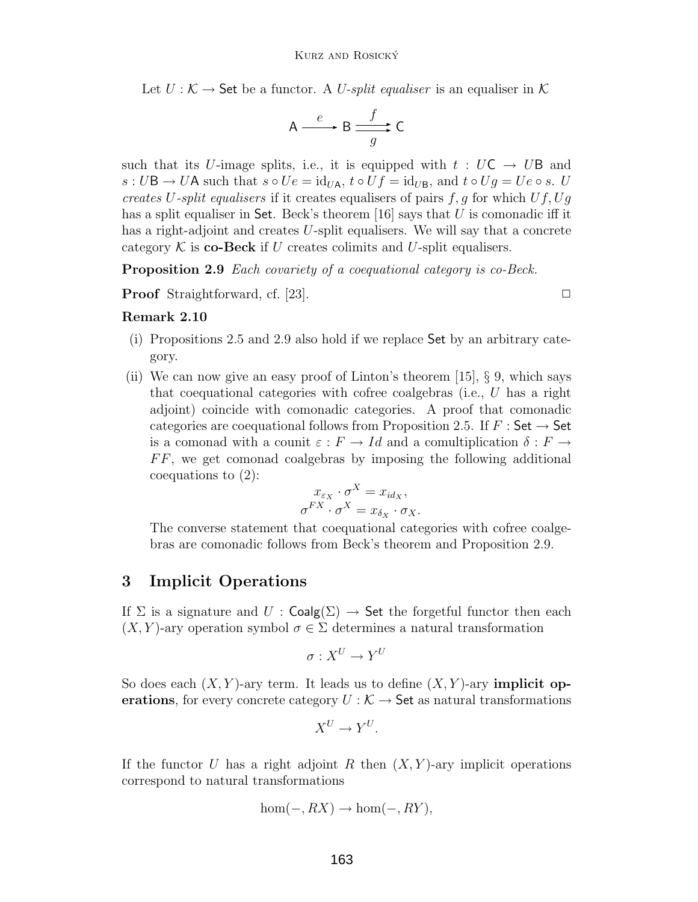Let  $U: \mathcal{K} \to$  Set be a functor. A U-split equaliser is an equaliser in  $\mathcal{K}$ 

$$
A \xrightarrow{e} B \xrightarrow{f} C
$$

such that its U-image splits, i.e., it is equipped with  $t : UC \rightarrow UB$  and  $s: U\mathsf{B} \to U\mathsf{A}$  such that  $s \circ Ue = \mathrm{id}_{U\mathsf{A}}$ ,  $t \circ Uf = \mathrm{id}_{U\mathsf{B}}$ , and  $t \circ Ug = Ue \circ s$ . U creates U-split equalisers if it creates equalisers of pairs  $f, g$  for which  $Uf, Ug$ has a split equaliser in Set. Beck's theorem [\[16\]](#page-20-10) says that  $U$  is comonadic iff it has a right-adjoint and creates U-split equalisers. We will say that a concrete category  $K$  is **co-Beck** if U creates colimits and U-split equalisers.

<span id="page-9-1"></span>**Proposition 2.9** Each covariety of a coequational category is co-Beck.

**Proof** Straightforward, cf. [\[23\]](#page-21-0). ◯

#### **Remark 2.10**

- (i) Propositions [2.5](#page-7-1) and [2.9](#page-9-1) also hold if we replace Set by an arbitrary category.
- (ii) We can now give an easy proof of Linton's theorem  $[15]$ , § 9, which says that coequational categories with cofree coalgebras (i.e., U has a right adjoint) coincide with comonadic categories. A proof that comonadic categories are coequational follows from Proposition [2.5.](#page-7-1) If  $F :$  Set  $\rightarrow$  Set is a comonad with a counit  $\varepsilon : F \to Id$  and a comultiplication  $\delta : F \to$  $FF$ , we get comonad coalgebras by imposing the following additional coequations to [\(2\)](#page-7-0):

$$
x_{\varepsilon_X} \cdot \sigma^X = x_{id_X},
$$
  

$$
\sigma^{FX} \cdot \sigma^X = x_{\delta_X} \cdot \sigma_X.
$$

The converse statement that coequational categories with cofree coalgebras are comonadic follows from Beck's theorem and Proposition [2.9.](#page-9-1)

## <span id="page-9-0"></span>**3 Implicit Operations**

If  $\Sigma$  is a signature and  $U : \mathsf{Coalg}(\Sigma) \to \mathsf{Set}$  the forgetful functor then each  $(X, Y)$ -ary operation symbol  $\sigma \in \Sigma$  determines a natural transformation

$$
\sigma: X^U \to Y^U
$$

So does each  $(X, Y)$ -ary term. It leads us to define  $(X, Y)$ -ary **implicit operations**, for every concrete category  $U : \mathcal{K} \to \mathsf{Set}$  as natural transformations

$$
X^U \to Y^U.
$$

If the functor U has a right adjoint R then  $(X, Y)$ -ary implicit operations correspond to natural transformations

$$
hom(-, RX) \to hom(-, RY),
$$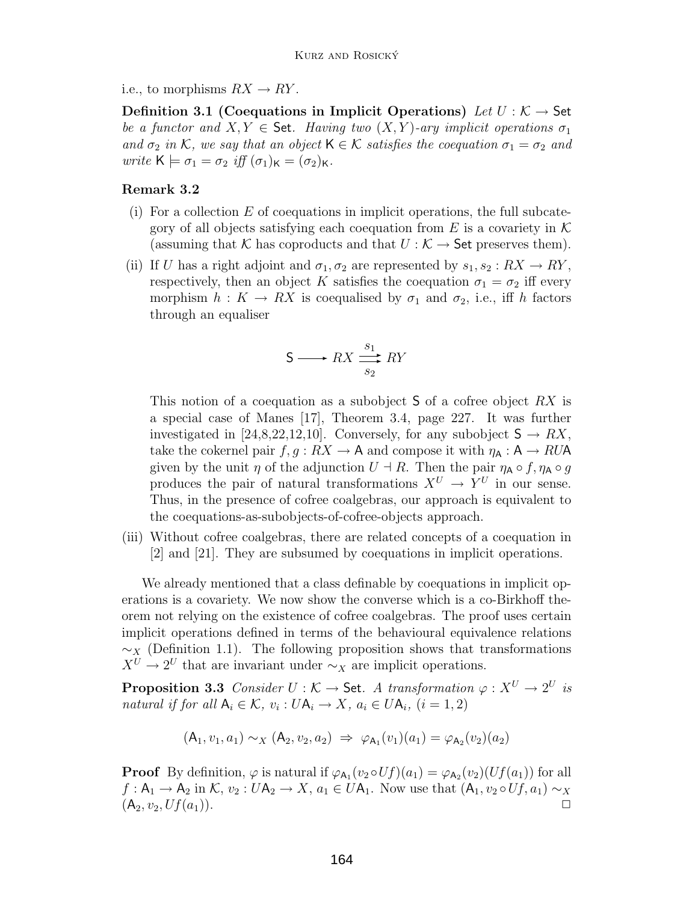<span id="page-10-1"></span>i.e., to morphisms  $RX \rightarrow RY$ .

**Definition 3.1 (Coequations in Implicit Operations)** Let  $U : \mathcal{K} \to \mathsf{Set}$ be a functor and  $X, Y \in$  Set. Having two  $(X, Y)$ -ary implicit operations  $\sigma_1$ and  $\sigma_2$  in K, we say that an object  $\mathsf{K} \in \mathcal{K}$  satisfies the coequation  $\sigma_1 = \sigma_2$  and write  $\mathsf{K} \models \sigma_1 = \sigma_2$  iff  $(\sigma_1)_{\mathsf{K}} = (\sigma_2)_{\mathsf{K}}$ .

#### **Remark 3.2**

- (i) For a collection  $E$  of coequations in implicit operations, the full subcategory of all objects satisfying each coequation from  $E$  is a covariety in  $\mathcal K$ (assuming that K has coproducts and that  $U : \mathcal{K} \to$  Set preserves them).
- (ii) If U has a right adjoint and  $\sigma_1, \sigma_2$  are represented by  $s_1, s_2 : RX \rightarrow RY$ , respectively, then an object K satisfies the coequation  $\sigma_1 = \sigma_2$  iff every morphism  $h: K \to RX$  is coequalised by  $\sigma_1$  and  $\sigma_2$ , i.e., iff h factors through an equaliser

$$
S \longrightarrow RX \xrightarrow[s_2]{s_1} RN
$$

This notion of a coequation as a subobject  $S$  of a cofree object  $RX$  is a special case of Manes [\[17\]](#page-20-3), Theorem 3.4, page 227. It was further investigated in [\[24](#page-21-2)[,8,](#page-20-5)[22,](#page-21-3)[12](#page-20-6)[,10\]](#page-20-7). Conversely, for any subobject  $S \to RX$ , take the cokernel pair  $f, g: RX \to A$  and compose it with  $\eta_A: A \to RUA$ given by the unit  $\eta$  of the adjunction  $U \dashv R$ . Then the pair  $\eta_A \circ f$ ,  $\eta_A \circ g$ produces the pair of natural transformations  $X^U \to Y^U$  in our sense. Thus, in the presence of cofree coalgebras, our approach is equivalent to the coequations-as-subobjects-of-cofree-objects approach.

(iii) Without cofree coalgebras, there are related concepts of a coequation in [\[2\]](#page-19-2) and [\[21\]](#page-21-1). They are subsumed by coequations in implicit operations.

We already mentioned that a class definable by coequations in implicit operations is a covariety. We now show the converse which is a co-Birkhoff theorem not relying on the existence of cofree coalgebras. The proof uses certain implicit operations defined in terms of the behavioural equivalence relations  $\sim_X$  (Definition [1.1\)](#page-5-1). The following proposition shows that transformations  $X^U \nightharpoonup 2^U$  that are invariant under  $\sim_X$  are implicit operations.

<span id="page-10-0"></span>**Proposition 3.3** Consider  $U : \mathcal{K} \to \mathsf{Set}$ . A transformation  $\varphi : X^U \to 2^U$  is natural if for all  $A_i \in \mathcal{K}$ ,  $v_i : U A_i \rightarrow X$ ,  $a_i \in U A_i$ ,  $(i = 1, 2)$ 

$$
(\mathsf{A}_1, v_1, a_1) \sim_X (\mathsf{A}_2, v_2, a_2) \Rightarrow \varphi_{\mathsf{A}_1}(v_1)(a_1) = \varphi_{\mathsf{A}_2}(v_2)(a_2)
$$

**Proof** By definition,  $\varphi$  is natural if  $\varphi_{A_1}(v_2 \circ Uf)(a_1) = \varphi_{A_2}(v_2)(Uf(a_1))$  for all  $f: A_1 \to A_2$  in  $\mathcal{K}, v_2: UA_2 \to X, a_1 \in UA_1$ . Now use that  $(A_1, v_2 \circ Uf, a_1) \sim_X (A_2, v_2, Uf(a_1))$ .  $(A_2, v_2, Uf(a_1)).$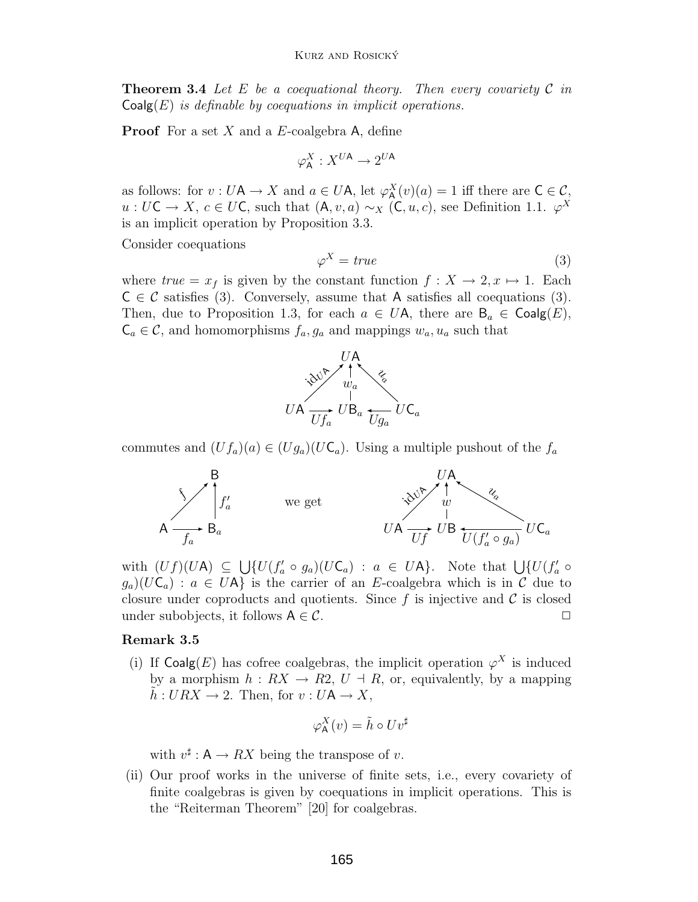**Theorem 3.4** Let E be a coequational theory. Then every covariety  $\mathcal{C}$  in  $Coalg(E)$  is definable by coequations in implicit operations.

**Proof** For a set X and a E-coalgebra A, define

$$
\varphi^X_{\mathsf{A}}: X^{U\mathsf{A}} \to 2^{U\mathsf{A}}
$$

as follows: for  $v : U\mathsf{A} \to X$  and  $a \in U\mathsf{A}$ , let  $\varphi^X_\mathsf{A}(v)(a) = 1$  iff there are  $\mathsf{C} \in \mathcal{C}$ ,<br> $u : U\mathsf{C} \to X$ ,  $c \in U\mathsf{C}$ , such that  $(\mathsf{A} \cup a) \circ \psi$   $(\mathsf{C} \cup c)$ , see Definition 1.1,  $\varphi^X$ u : UC → X,  $c \in U\mathbb{C}$ , such that  $(\mathsf{A}, v, a) \sim_X (\mathbb{C}, u, c)$ , see Definition [1.1.](#page-5-1)  $\varphi^X$ is an implicit operation by Proposition [3.3.](#page-10-0)

<span id="page-11-0"></span>Consider coequations

$$
\varphi^X = true \tag{3}
$$

where  $true = x_f$  is given by the constant function  $f: X \to 2, x \mapsto 1$ . Each  $C \in \mathcal{C}$  satisfies [\(3\)](#page-11-0). Conversely, assume that A satisfies all coequations (3). Then, due to Proposition [1.3,](#page-5-2) for each  $a \in U$ A, there are  $B_a \in \text{Coalg}(E)$ ,  $\mathsf{C}_a \in \mathcal{C}$ , and homomorphisms  $f_a, g_a$  and mappings  $w_a, u_a$  such that



commutes and  $(Uf_a)(a) \in (Ug_a)(U\mathsf{C}_a)$ . Using a multiple pushout of the  $f_a$ 



with  $(Uf)(UA) \subseteq \bigcup \{U(f'_a \circ g_a)(U\mathsf{C}_a) : a \in UA\}$ . Note that  $\bigcup \{U(f'_a \circ g_a)(U\mathsf{C}_a) : a \in HA\}$  is the carrier of an E-coalgebra which is in C due to  $g_a(UC_a)$ :  $a \in UA$  is the carrier of an E-coalgebra which is in C due to closure under coproducts and quotients. Since f is injective and  $\mathcal C$  is closed under subobjects, it follows  $A \in \mathcal{C}$ .  $\square$ 

#### **Remark 3.5**

(i) If Coalg(E) has cofree coalgebras, the implicit operation  $\varphi^X$  is induced by a morphism  $h: RX \rightarrow R2, U \rightarrow R$ , or, equivalently, by a mapping  $\tilde{h}: URX \to 2$ . Then, for  $v: U\mathsf{A} \to X$ ,

$$
\varphi_{\mathsf{A}}^X(v) = \tilde{h} \circ Uv^{\sharp}
$$

with  $v^{\sharp}: A \to RX$  being the transpose of v.

(ii) Our proof works in the universe of finite sets, i.e., every covariety of finite coalgebras is given by coequations in implicit operations. This is the "Reiterman Theorem" [\[20\]](#page-21-4) for coalgebras.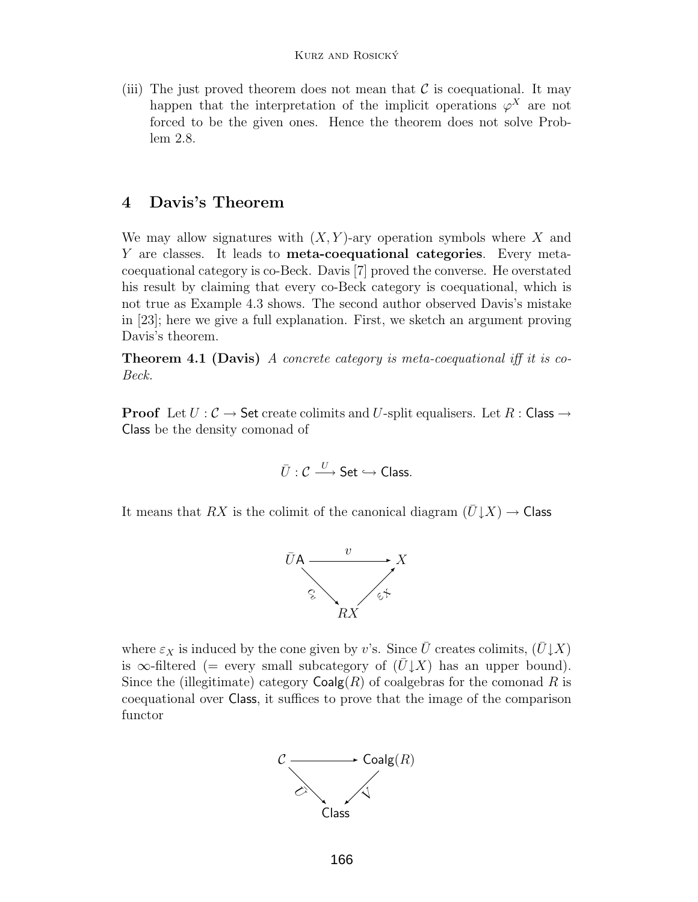(iii) The just proved theorem does not mean that  $\mathcal C$  is coequational. It may happen that the interpretation of the implicit operations  $\varphi^X$  are not forced to be the given ones. Hence the theorem does not solve Problem [2.8.](#page-8-1)

## <span id="page-12-0"></span>**4 Davis's Theorem**

We may allow signatures with  $(X, Y)$ -ary operation symbols where X and Y are classes. It leads to **meta-coequational categories**. Every metacoequational category is co-Beck. Davis [\[7\]](#page-20-2) proved the converse. He overstated his result by claiming that every co-Beck category is coequational, which is not true as Example [4.3](#page-13-0) shows. The second author observed Davis's mistake in [\[23\]](#page-21-0); here we give a full explanation. First, we sketch an argument proving Davis's theorem.

**Theorem 4.1 (Davis)** A concrete category is meta-coequational iff it is co-Beck.

**Proof** Let  $U: \mathcal{C} \to \mathsf{Set}$  create colimits and U-split equalisers. Let  $R: \mathsf{Class} \to \mathsf{Set}$ Class be the density comonad of

$$
\bar{U}: \mathcal{C} \xrightarrow{U} \mathsf{Set} \hookrightarrow \mathsf{Class}.
$$

It means that RX is the colimit of the canonical diagram  $(U\downarrow X) \rightarrow$  Class



where  $\varepsilon_X$  is induced by the cone given by v's. Since  $\bar{U}$  creates colimits,  $(\bar{U} \downarrow X)$ is  $\infty$ -filtered (= every small subcategory of  $(\bar{U} \downarrow X)$  has an upper bound). Since the (illegitimate) category  $\text{Coalg}(R)$  of coalgebras for the comonad R is coequational over Class, it suffices to prove that the image of the comparison functor

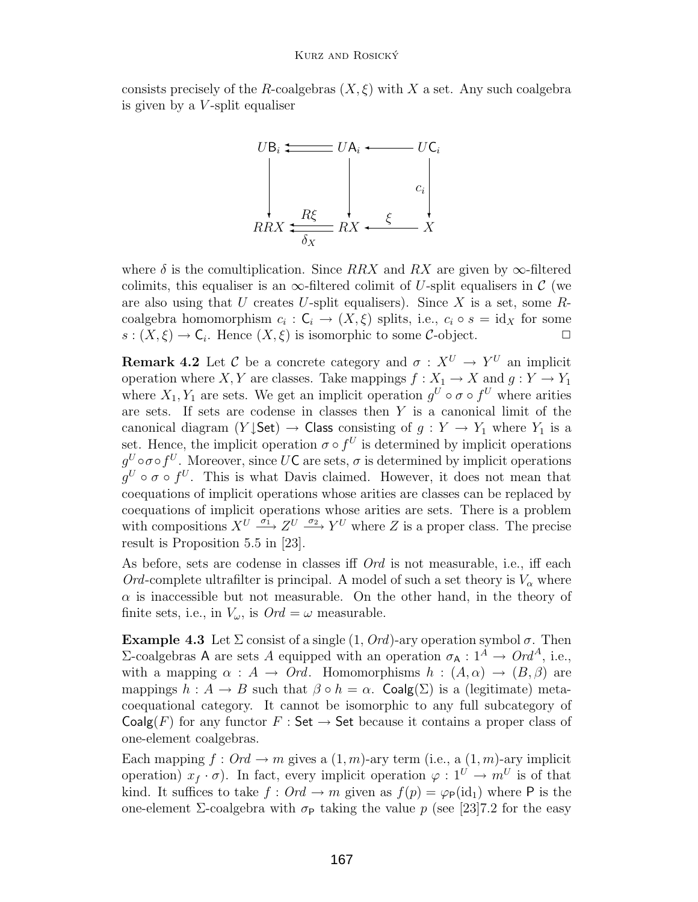consists precisely of the R-coalgebras  $(X, \xi)$  with X a set. Any such coalgebra is given by a  $V$ -split equaliser



where  $\delta$  is the comultiplication. Since RRX and RX are given by  $\infty$ -filtered colimits, this equaliser is an  $\infty$ -filtered colimit of U-split equalisers in C (we are also using that U creates U-split equalisers). Since X is a set, some  $R$ coalgebra homomorphism  $c_i : \mathsf{C}_i \to (X, \xi)$  splits, i.e.,  $c_i \circ s = id_X$  for some  $s : (X, \xi) \to \mathsf{C}_i$ . Hence  $(X, \xi)$  is isomorphic to some  $\mathcal{C}$ -object.  $s:(X,\xi)\to\mathsf{C}_i$ . Hence  $(X,\xi)$  is isomorphic to some C-object.

**Remark 4.2** Let C be a concrete category and  $\sigma: X^U \to Y^U$  an implicit operation where X, Y are classes. Take mappings  $f: X_1 \to X$  and  $g: Y \to Y_1$ where  $X_1, Y_1$  are sets. We get an implicit operation  $q^U \circ \sigma \circ f^U$  where arities are sets. If sets are codense in classes then  $Y$  is a canonical limit of the canonical diagram  $(Y \cup Set) \rightarrow Class$  consisting of  $g: Y \rightarrow Y_1$  where  $Y_1$  is a set. Hence, the implicit operation  $\sigma \circ f^U$  is determined by implicit operations  $q^U \circ \sigma \circ f^U$ . Moreover, since UC are sets,  $\sigma$  is determined by implicit operations  $q^U \circ \sigma \circ f^U$ . This is what Davis claimed. However, it does not mean that coequations of implicit operations whose arities are classes can be replaced by coequations of implicit operations whose arities are sets. There is a problem with compositions  $X^U \xrightarrow{\sigma_1} Z^U \xrightarrow{\sigma_2} Y^U$  where Z is a proper class. The precise result is Proposition 5.5 in [\[23\]](#page-21-0).

As before, sets are codense in classes iff Ord is not measurable, i.e., iff each Ord-complete ultrafilter is principal. A model of such a set theory is  $V_{\alpha}$  where  $\alpha$  is inaccessible but not measurable. On the other hand, in the theory of finite sets, i.e., in  $V_{\omega}$ , is  $Ord = \omega$  measurable.

<span id="page-13-0"></span>**Example 4.3** Let  $\Sigma$  consist of a single  $(1, Ord)$ -ary operation symbol  $\sigma$ . Then Σ-coalgebras A are sets A equipped with an operation  $\sigma_A : 1^A \to Ord^A$ , i.e., with a mapping  $\alpha : A \to Ord$ . Homomorphisms  $h : (A, \alpha) \to (B, \beta)$  are mappings  $h : A \to B$  such that  $\beta \circ h = \alpha$ . Coalg( $\Sigma$ ) is a (legitimate) metacoequational category. It cannot be isomorphic to any full subcategory of  $Coalg(F)$  for any functor  $F : Set \rightarrow Set$  because it contains a proper class of one-element coalgebras.

Each mapping  $f: Ord \to m$  gives a  $(1,m)$ -ary term (i.e., a  $(1,m)$ -ary implicit operation)  $x_f \cdot \sigma$ . In fact, every implicit operation  $\varphi : 1^U \to m^U$  is of that kind. It suffices to take  $f: Ord \to m$  given as  $f(p) = \varphi_{\mathsf{P}}(\mathrm{id}_{1})$  where P is the one-element Σ-coalgebra with  $\sigma_{\rm P}$  taking the value p (see [\[23\]](#page-21-0)7.2 for the easy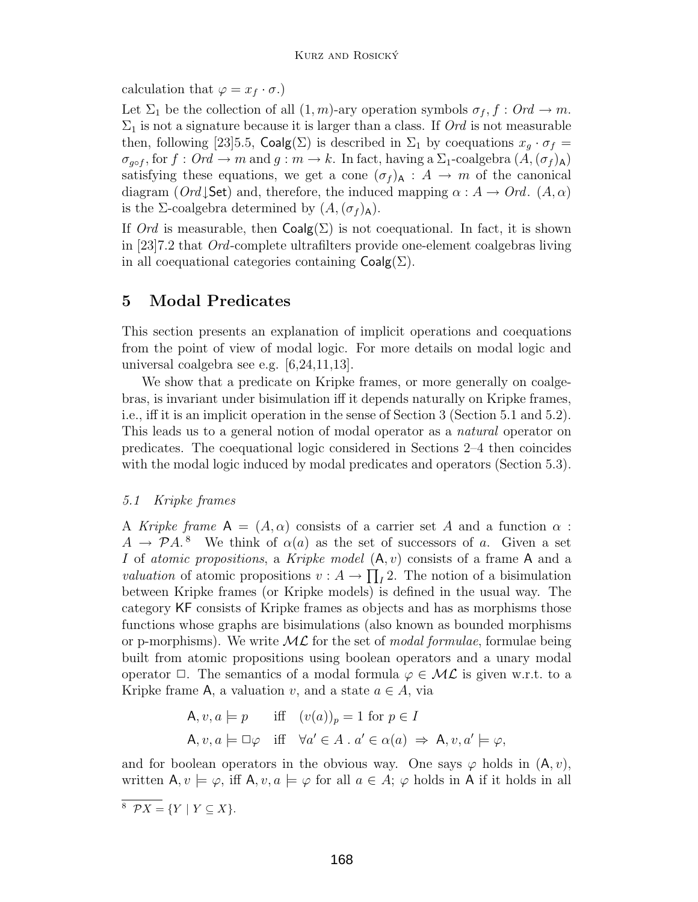calculation that  $\varphi = x_f \cdot \sigma$ .

Let  $\Sigma_1$  be the collection of all  $(1, m)$ -ary operation symbols  $\sigma_f$ ,  $f : Ord \to m$ .  $\Sigma_1$  is not a signature because it is larger than a class. If *Ord* is not measurable then, following [\[23\]](#page-21-0)5.5, Coalg(Σ) is described in  $\Sigma_1$  by coequations  $x_q \cdot \sigma_f =$  $\sigma_{g\circ f}$ , for  $f: Ord \to m$  and  $g: m \to k$ . In fact, having a  $\Sigma_1$ -coalgebra  $(A, (\sigma_f)_{\mathsf{A}})$ satisfying these equations, we get a cone  $(\sigma_f)_{\mathsf{A}} : A \to m$  of the canonical diagram ( $Ord\downarrow$ Set) and, therefore, the induced mapping  $\alpha : A \to Ord$ .  $(A, \alpha)$ is the Σ-coalgebra determined by  $(A,(\sigma_f)_A)$ .

If Ord is measurable, then  $Coalg(\Sigma)$  is not coequational. In fact, it is shown in [\[23\]](#page-21-0)7.2 that Ord-complete ultrafilters provide one-element coalgebras living in all coequational categories containing  $Coalg(\Sigma)$ .

## <span id="page-14-0"></span>**5 Modal Predicates**

This section presents an explanation of implicit operations and coequations from the point of view of modal logic. For more details on modal logic and universal coalgebra see e.g. [\[6](#page-20-11)[,24](#page-21-2)[,11](#page-20-12)[,13\]](#page-20-8).

We show that a predicate on Kripke frames, or more generally on coalgebras, is invariant under bisimulation iff it depends naturally on Kripke frames, i.e., iff it is an implicit operation in the sense of Section [3](#page-9-0) (Section [5.1](#page-14-1) and [5.2\)](#page-15-0). This leads us to a general notion of modal operator as a natural operator on predicates. The coequational logic considered in Sections [2–](#page-6-0)[4](#page-12-0) then coincides with the modal logic induced by modal predicates and operators (Section [5.3\)](#page-16-0).

#### <span id="page-14-1"></span>5.1 Kripke frames

A Kripke frame  $A = (A, \alpha)$  consists of a carrier set A and a function  $\alpha$ :  $A \to \mathcal{P}A$ .<sup>[8](#page-14-2)</sup> We think of  $\alpha(a)$  as the set of successors of a. Given a set I of atomic propositions, a Kripke model  $(A, v)$  consists of a frame A and a *valuation* of atomic propositions  $v: A \to \prod_I 2$ . The notion of a bisimulation between Kripke frames (or Kripke models) is defined in the usual way. The category KF consists of Kripke frames as objects and has as morphisms those functions whose graphs are bisimulations (also known as bounded morphisms or p-morphisms). We write  $ML$  for the set of modal formulae, formulae being built from atomic propositions using boolean operators and a unary modal operator  $\Box$ . The semantics of a modal formula  $\varphi \in \mathcal{ML}$  is given w.r.t. to a Kripke frame A, a valuation v, and a state  $a \in A$ , via

$$
\mathsf{A}, v, a \models p \quad \text{iff} \quad (v(a))_p = 1 \text{ for } p \in I
$$
\n
$$
\mathsf{A}, v, a \models \Box \varphi \quad \text{iff} \quad \forall a' \in A \,.\ a' \in \alpha(a) \Rightarrow \mathsf{A}, v, a' \models \varphi,
$$

and for boolean operators in the obvious way. One says  $\varphi$  holds in  $(A, v)$ , written  $A, v \models \varphi$ , iff  $A, v, a \models \varphi$  for all  $a \in A$ ;  $\varphi$  holds in A if it holds in all

<span id="page-14-2"></span> $8 \mathcal{P}X = \{Y \mid Y \subseteq X\}.$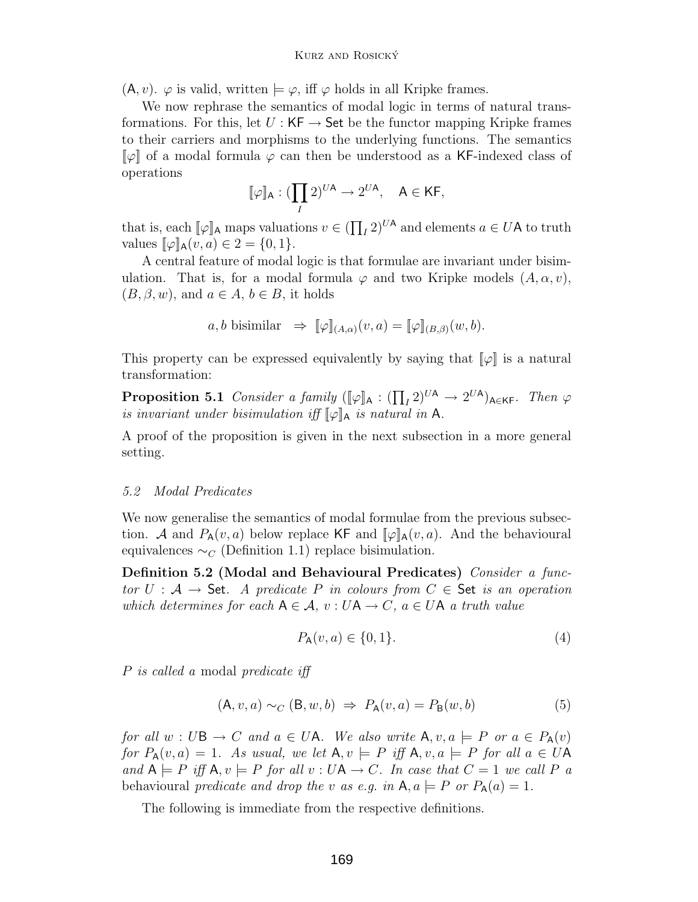$(A, v)$ .  $\varphi$  is valid, written  $\models \varphi$ , iff  $\varphi$  holds in all Kripke frames.

We now rephrase the semantics of modal logic in terms of natural transformations. For this, let  $U : KF \to Set$  be the functor mapping Kripke frames to their carriers and morphisms to the underlying functions. The semantics  $\lbrack \varphi \rbrack$  of a modal formula  $\varphi$  can then be understood as a KF-indexed class of operations

$$
[\![\varphi]\!]_\mathsf{A} : (\prod_I 2)^{U\mathsf{A}} \to 2^{U\mathsf{A}}, \quad \mathsf{A} \in \mathsf{KF},
$$

that is, each  $[\![\varphi]\!]_A$  maps valuations  $v \in (\prod_I 2)^{U A}$  and elements  $a \in U A$  to truth values  $[\![\varphi]\!]_A (v, a) \in 2 - I \Omega$  1) values  $\llbracket \varphi \rrbracket_{\mathsf{A}}(v, a) \in 2 = \{0, 1\}.$ 

A central feature of modal logic is that formulae are invariant under bisimulation. That is, for a modal formula  $\varphi$  and two Kripke models  $(A, \alpha, v)$ ,  $(B, \beta, w)$ , and  $a \in A$ ,  $b \in B$ , it holds

$$
a, b
$$
 bisimilar  $\Rightarrow$   $[\![\varphi]\!]_{(A,\alpha)}(v,a) = [\![\varphi]\!]_{(B,\beta)}(w,b).$ 

This property can be expressed equivalently by saying that  $\llbracket \varphi \rrbracket$  is a natural transformation:

**Proposition 5.1** Consider a family  $([\![\varphi]\!]_A : (\prod_I 2)^{U A} \to 2^{U A})_{A \in K F}$ . Then  $\varphi$ is invariant under bisimulation iff  $\llbracket \varphi \rrbracket_A$  is natural in A.

A proof of the proposition is given in the next subsection in a more general setting.

#### <span id="page-15-0"></span>5.2 Modal Predicates

We now generalise the semantics of modal formulae from the previous subsection. A and  $P_{\mathsf{A}}(v, a)$  below replace KF and  $[\![\varphi]\!]_{\mathsf{A}}(v, a)$ . And the behavioural equivalences  $\sim_C$  (Definition [1.1\)](#page-5-1) replace bisimulation.

<span id="page-15-2"></span>**Definition 5.2 (Modal and Behavioural Predicates)** Consider a functor  $U : A \rightarrow$  Set. A predicate P in colours from  $C \in$  Set is an operation which determines for each  $A \in \mathcal{A}$ ,  $v : UA \to C$ ,  $a \in UA$  a truth value

$$
P_{\mathsf{A}}(v, a) \in \{0, 1\}.
$$
 (4)

P is called a modal predicate iff

$$
(\mathsf{A}, v, a) \sim_C (\mathsf{B}, w, b) \Rightarrow P_\mathsf{A}(v, a) = P_\mathsf{B}(w, b) \tag{5}
$$

for all  $w : U\mathsf{B} \to C$  and  $a \in U\mathsf{A}$ . We also write  $\mathsf{A}, v, a \models P$  or  $a \in P_{\mathsf{A}}(v)$ for  $P_{\mathsf{A}}(v, a)=1$ . As usual, we let  $\mathsf{A}, v \models P$  iff  $\mathsf{A}, v, a \models P$  for all  $a \in U\mathsf{A}$ and  $A \models P$  iff  $A, v \models P$  for all  $v : UA \rightarrow C$ . In case that  $C = 1$  we call P a behavioural predicate and drop the v as e.g. in  $A, a \models P$  or  $P_A(a) = 1$ .

<span id="page-15-1"></span>The following is immediate from the respective definitions.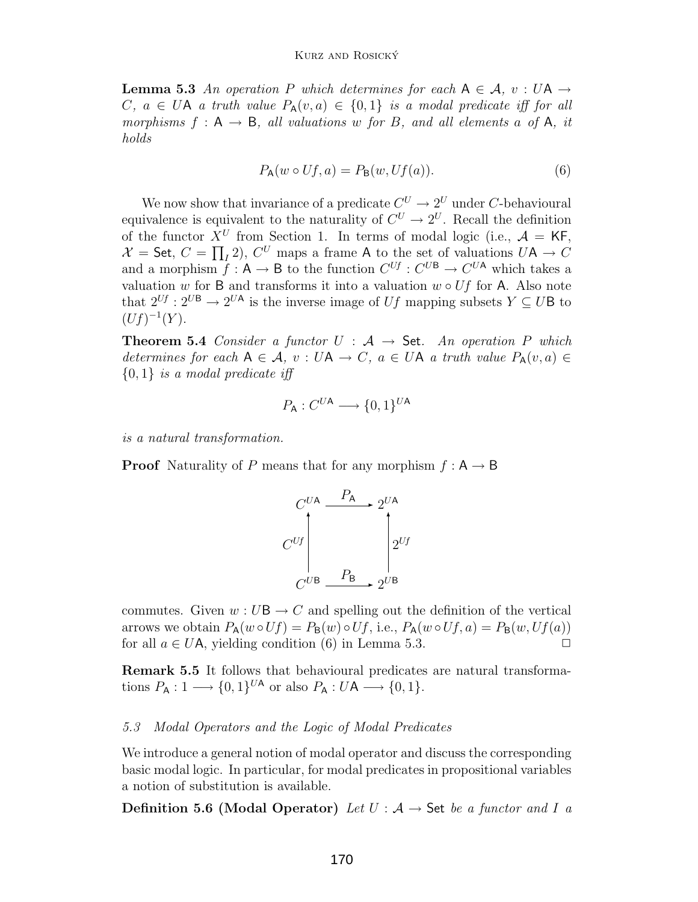**Lemma 5.3** An operation P which determines for each  $A \in \mathcal{A}$ ,  $v : UA \rightarrow$ C,  $a \in U$ A a truth value  $P_{\mathsf{A}}(v, a) \in \{0, 1\}$  is a modal predicate iff for all morphisms  $f : A \rightarrow B$ , all valuations w for B, and all elements a of A, it holds

<span id="page-16-1"></span>
$$
P_{\mathsf{A}}(w \circ Uf, a) = P_{\mathsf{B}}(w, Uf(a)).\tag{6}
$$

We now show that invariance of a predicate  $C^U \to 2^U$  under C-behavioural equivalence is equivalent to the naturality of  $C^U \to 2^U$ . Recall the definition of the functor  $X^U$  from Section 1. In terms of modal logic (i.e.,  $\mathcal{A} = \mathsf{KF}$ , of the functor  $X^U$  from Section [1.](#page-4-3) In terms of modal logic (i.e.,  $A = \mathsf{KF},$ <br> $X = \mathsf{Set} \ \ C = \Pi \ 2$ )  $C^U$  maps a frame A to the set of valuations  $U\mathsf{A} \to C$  $\mathcal{X} =$  Set,  $C = \prod_I 2$ ,  $C^U$  maps a frame A to the set of valuations  $U \mathsf{A} \to C$ <br>and a morphism  $f : \mathsf{A} \to \mathsf{B}$  to the function  $C^{Uf} : C^{UB} \to C^{UA}$  which takes a and a morphism  $f : A \to B$  to the function  $C^{Uf} : C^{UB} \to C^{UA}$  which takes a valuation w for B and transforms it into a valuation  $w \circ Uf$  for A. Also note that  $2^{Uf}$  :  $2^{UB} \rightarrow 2^{UA}$  is the inverse image of Uf mapping subsets  $Y \subseteq UB$  to  $(Uf)^{-1}(Y).$ 

**Theorem 5.4** Consider a functor  $U : A \rightarrow$  Set. An operation P which determines for each  $A \in \mathcal{A}$ ,  $v : UA \to C$ ,  $a \in UA$  a truth value  $P_A(v, a) \in$  ${0,1}$  is a modal predicate iff

$$
P_{\mathsf{A}} : C^{U\mathsf{A}} \longrightarrow \{0,1\}^{U\mathsf{A}}
$$

is a natural transformation.

**Proof** Naturality of P means that for any morphism  $f : A \rightarrow B$ 



commutes. Given  $w: U\mathsf{B} \to C$  and spelling out the definition of the vertical arrows we obtain  $P_A(w \circ Uf) = P_B(w) \circ Uf$ , i.e.,  $P_A(w \circ Uf, a) = P_B(w, Uf(a))$ for all  $a \in U\mathsf{A}$ , yielding condition [\(6\)](#page-16-1) in Lemma [5.3.](#page-15-1)

**Remark 5.5** It follows that behavioural predicates are natural transformations  $P_A: 1 \longrightarrow \{0,1\}^{U_A}$  or also  $P_A: U_A \longrightarrow \{0,1\}.$ 

#### <span id="page-16-0"></span>5.3 Modal Operators and the Logic of Modal Predicates

We introduce a general notion of modal operator and discuss the corresponding basic modal logic. In particular, for modal predicates in propositional variables a notion of substitution is available.

<span id="page-16-2"></span>**Definition 5.6 (Modal Operator)** Let  $U : A \rightarrow$  Set be a functor and I a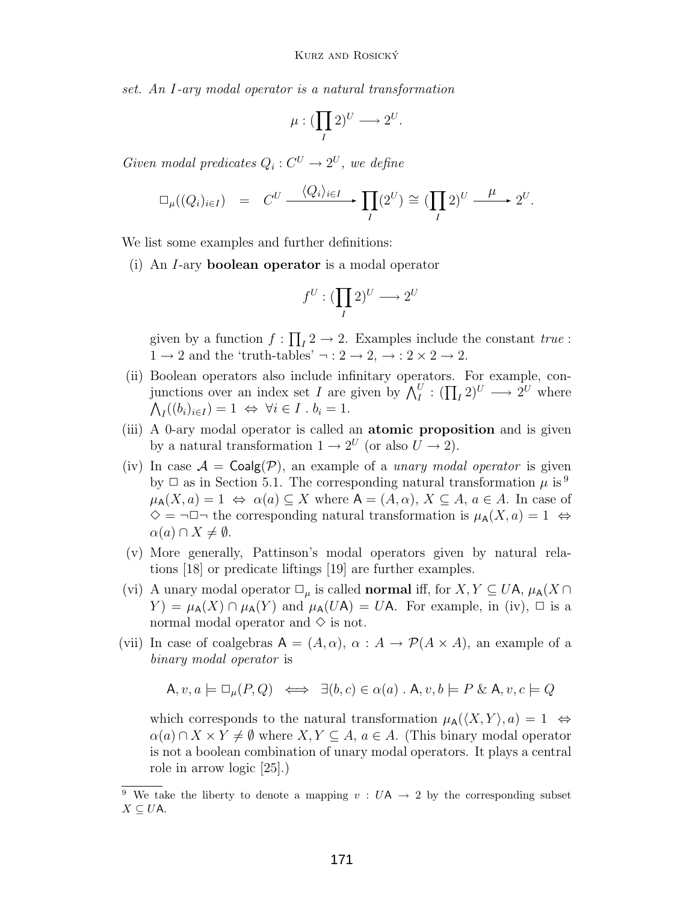set. An I-ary modal operator is a natural transformation

$$
\mu: (\prod_I 2)^U \longrightarrow 2^U.
$$

Given modal predicates  $Q_i: C^U \to 2^U$ , we define

$$
\Box_{\mu}((Q_i)_{i\in I}) = C^U \xrightarrow{\langle Q_i \rangle_{i\in I}} \prod_I (2^U) \cong (\prod_I 2)^U \xrightarrow{\mu} 2^U.
$$

We list some examples and further definitions:

(i) An I-ary **boolean operator** is a modal operator

$$
f^U: (\prod_I 2)^U \longrightarrow 2^U
$$

given by a function  $f: \prod_{I} 2 \to 2$ . Examples include the constant  $true$ :  $1 \rightarrow 2$  and the 'truth-tables'  $\neg : 2 \rightarrow 2, \rightarrow : 2 \times 2 \rightarrow 2$ .

- (ii) Boolean operators also include infinitary operators. For example, conjunctions over an index set I are given by  $\bigwedge_I^U : (\prod_I 2)^U \longrightarrow 2^U$  where  $\bigwedge_I((b_i)_{i\in I})=1 \Leftrightarrow \forall i\in I \cdot b_i=1.$
- (iii) A 0-ary modal operator is called an **atomic proposition** and is given by a natural transformation  $1 \rightarrow 2^U$  (or also  $\overline{U} \rightarrow 2$ ).
- (iv) In case  $A = \text{Coalg}(\mathcal{P})$ , an example of a *unary modal operator* is given by  $\Box$  as in Section [5.1.](#page-14-1) The corresponding natural transformation  $\mu$  is <sup>[9](#page-17-0)</sup>  $\mu_A(X, a) = 1 \Leftrightarrow \alpha(a) \subseteq X$  where  $A = (A, \alpha), X \subseteq A, a \in A$ . In case of  $\diamond$  = ¬ $\square$ ¬ the corresponding natural transformation is  $\mu_{\mathsf{A}}(X, a) = 1 \Leftrightarrow$  $\alpha(a) \cap X \neq \emptyset$ .
- (v) More generally, Pattinson's modal operators given by natural relations [\[18\]](#page-20-13) or predicate liftings [\[19\]](#page-21-5) are further examples.
- (vi) A unary modal operator  $\Box_{\mu}$  is called **normal** iff, for  $X, Y \subseteq U$ A,  $\mu_{A}(X \cap$  $Y$ ) =  $\mu_{\mathsf{A}}(X) \cap \mu_{\mathsf{A}}(Y)$  and  $\mu_{\mathsf{A}}(U\mathsf{A}) = U\mathsf{A}$ . For example, in (iv),  $\Box$  is a normal modal operator and  $\diamond$  is not.
- (vii) In case of coalgebras  $A = (A, \alpha)$ ,  $\alpha : A \rightarrow \mathcal{P}(A \times A)$ , an example of a binary modal operator is

$$
\mathsf{A}, v, a \models \Box_{\mu}(P, Q) \iff \exists (b, c) \in \alpha(a) \text{ . } \mathsf{A}, v, b \models P \& \mathsf{A}, v, c \models Q
$$

which corresponds to the natural transformation  $\mu_A(\langle X, Y \rangle, a)=1 \Leftrightarrow$  $\alpha(a) \cap X \times Y \neq \emptyset$  where  $X, Y \subseteq A$ ,  $a \in A$ . (This binary modal operator is not a boolean combination of unary modal operators. It plays a central role in arrow logic [\[25\]](#page-21-6).)

<span id="page-17-0"></span><sup>&</sup>lt;sup>9</sup> We take the liberty to denote a mapping  $v : UA \rightarrow 2$  by the corresponding subset  $X \subseteq U$ A.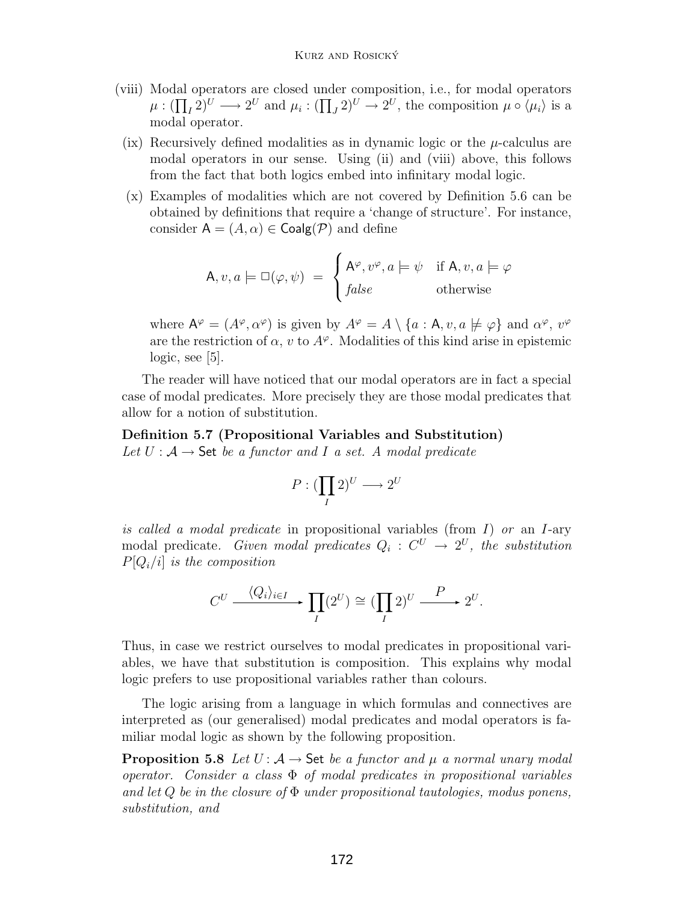- (viii) Modal operators are closed under composition, i.e., for modal operators  $\mu: (\prod_I 2)^U \longrightarrow 2^U$  and  $\mu_i: (\prod_J 2)^U \longrightarrow 2^U$ , the composition  $\mu \circ \langle \mu_i \rangle$  is a modal operator.
	- (ix) Recursively defined modalities as in dynamic logic or the  $\mu$ -calculus are modal operators in our sense. Using (ii) and (viii) above, this follows from the fact that both logics embed into infinitary modal logic.
	- (x) Examples of modalities which are not covered by Definition [5.6](#page-16-2) can be obtained by definitions that require a 'change of structure'. For instance, consider  $A = (A, \alpha) \in \text{Coalg}(\mathcal{P})$  and define

$$
\mathsf{A}, v, a \models \Box(\varphi, \psi) = \begin{cases} \mathsf{A}^{\varphi}, v^{\varphi}, a \models \psi & \text{if } \mathsf{A}, v, a \models \varphi \\ false & \text{otherwise} \end{cases}
$$

where  $A^{\varphi} = (A^{\varphi}, \alpha^{\varphi})$  is given by  $A^{\varphi} = A \setminus \{a : A, v, a \not\models \varphi\}$  and  $\alpha^{\varphi}, v^{\varphi}$ are the restriction of  $\alpha$ , v to  $A^{\varphi}$ . Modalities of this kind arise in epistemic logic, see [\[5\]](#page-20-14).

The reader will have noticed that our modal operators are in fact a special case of modal predicates. More precisely they are those modal predicates that allow for a notion of substitution.

<span id="page-18-0"></span>**Definition 5.7 (Propositional Variables and Substitution)** Let  $U: \mathcal{A} \to \mathsf{Set}$  be a functor and I a set. A modal predicate

$$
P: (\prod_{I} 2)^{U} \longrightarrow 2^{U}
$$

is called a modal predicate in propositional variables (from  $I$ ) or an I-ary modal predicate. Given modal predicates  $Q_i : C^U \rightarrow 2^U$ , the substitution  $P[Q_i/i]$  is the composition

$$
C^U \xrightarrow{\langle Q_i \rangle_{i \in I}} \prod_I (2^U) \cong (\prod_I 2)^U \xrightarrow{P} 2^U.
$$

Thus, in case we restrict ourselves to modal predicates in propositional variables, we have that substitution is composition. This explains why modal logic prefers to use propositional variables rather than colours.

The logic arising from a language in which formulas and connectives are interpreted as (our generalised) modal predicates and modal operators is familiar modal logic as shown by the following proposition.

**Proposition 5.8** Let  $U: A \rightarrow$  Set be a functor and  $\mu$  a normal unary modal operator. Consider a class  $\Phi$  of modal predicates in propositional variables and let  $Q$  be in the closure of  $\Phi$  under propositional tautologies, modus ponens, substitution, and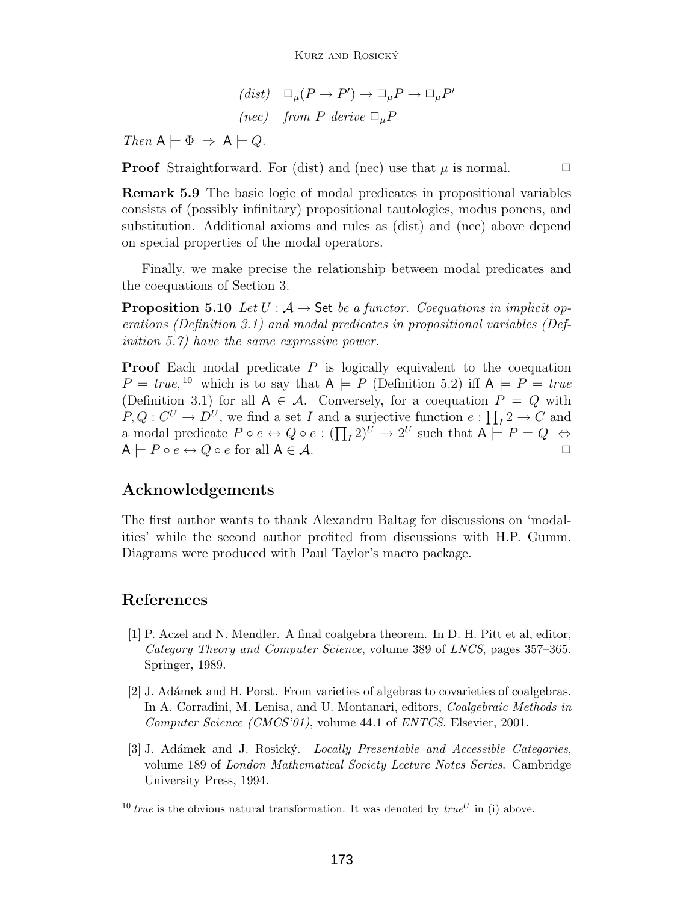$(dist) \quad \Box_{\mu}(P \to P') \to \Box_{\mu}P \to \Box_{\mu}P'$ (nec) from P derive  $\Box_{\mu}P$ 

Then  $A \models \Phi \Rightarrow A \models Q$ .

**Proof** Straightforward. For (dist) and (nec) use that  $\mu$  is normal.  $\Box$ 

**Remark 5.9** The basic logic of modal predicates in propositional variables consists of (possibly infinitary) propositional tautologies, modus ponens, and substitution. Additional axioms and rules as (dist) and (nec) above depend on special properties of the modal operators.

Finally, we make precise the relationship between modal predicates and the coequations of Section [3.](#page-9-0)

**Proposition 5.10** Let  $U : A \rightarrow$  Set be a functor. Coequations in implicit operations (Definition [3.1\)](#page-10-1) and modal predicates in propositional variables (Definition [5.7\)](#page-18-0) have the same expressive power.

**Proof** Each modal predicate P is logically equivalent to the coequation  $P = true$ , <sup>[10](#page-19-3)</sup> which is to say that  $A \models P$  (Definition [5.2\)](#page-15-2) iff  $A \models P = true$ <br>(Definition 3.1) for all  $A \in \mathcal{A}$ . Conversely, for a coequation  $P = Q$  with (Definition [3.1\)](#page-10-1) for all  $A \in \mathcal{A}$ . Conversely, for a coequation  $P = Q$  with  $P, Q: C^U \to D^U$ , we find a set  $I$  and a surjective function  $e: \prod_I 2 \to C$  and a modal predicate  $P \circ e \leftrightarrow Q \circ e : (\prod_I 2)^U \to 2^U$  such that  $A \models P = Q \Leftrightarrow$ <br> $A \models P \circ e \leftrightarrow Q \circ e$  for all  $A \subseteq A$  $A \models P \circ e \leftrightarrow Q \circ e$  for all  $A \in \mathcal{A}$ .

## **Acknowledgements**

The first author wants to thank Alexandru Baltag for discussions on 'modalities' while the second author profited from discussions with H.P. Gumm. Diagrams were produced with Paul Taylor's macro package.

## <span id="page-19-0"></span>**References**

- [1] P. Aczel and N. Mendler. A final coalgebra theorem. In D. H. Pitt et al, editor, *Category Theory and Computer Science*, volume 389 of *LNCS*, pages 357–365. Springer, 1989.
- <span id="page-19-2"></span>[2] J. Ad´amek and H. Porst. From varieties of algebras to covarieties of coalgebras. In A. Corradini, M. Lenisa, and U. Montanari, editors, *Coalgebraic Methods in Computer Science (CMCS'01)*, volume 44.1 of *ENTCS*. Elsevier, 2001.
- <span id="page-19-1"></span>[3] J. Ad´amek and J. Rosick´y. *Locally Presentable and Accessible Categories*, volume 189 of *London Mathematical Society Lecture Notes Series*. Cambridge University Press, 1994.

<span id="page-19-3"></span><sup>&</sup>lt;sup>10</sup> *true* is the obvious natural transformation. It was denoted by  $true^U$  in (i) above.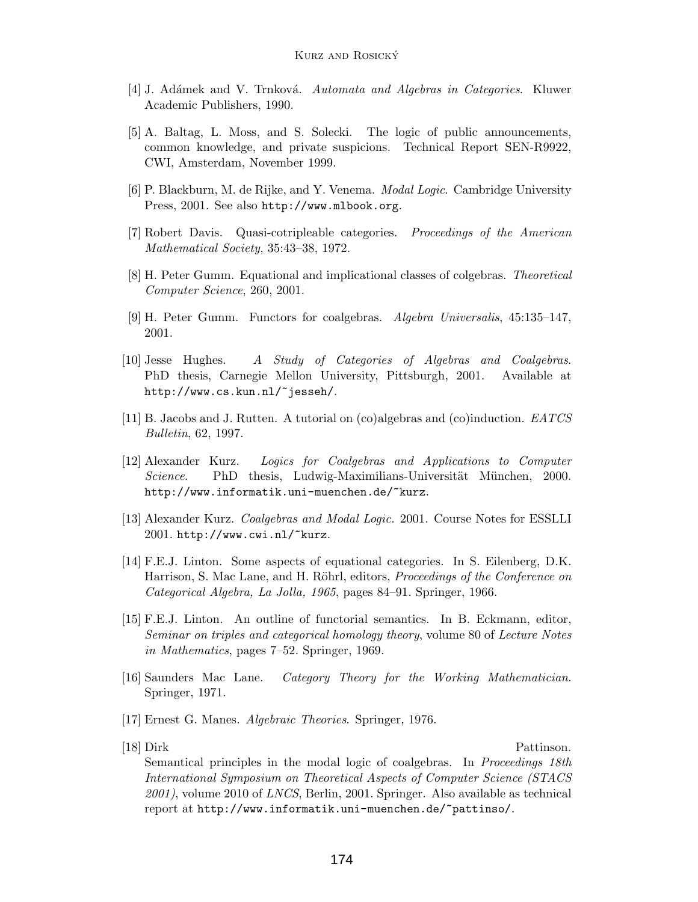- <span id="page-20-14"></span><span id="page-20-4"></span>[4] J. Ad´amek and V. Trnkov´a. *Automata and Algebras in Categories*. Kluwer Academic Publishers, 1990.
- [5] A. Baltag, L. Moss, and S. Solecki. The logic of public announcements, common knowledge, and private suspicions. Technical Report SEN-R9922, CWI, Amsterdam, November 1999.
- <span id="page-20-11"></span>[6] P. Blackburn, M. de Rijke, and Y. Venema. *Modal Logic*. Cambridge University Press, 2001. See also <http://www.mlbook.org>.
- <span id="page-20-5"></span><span id="page-20-2"></span>[7] Robert Davis. Quasi-cotripleable categories. *Proceedings of the American Mathematical Society*, 35:43–38, 1972.
- <span id="page-20-9"></span>[8] H. Peter Gumm. Equational and implicational classes of colgebras. *Theoretical Computer Science*, 260, 2001.
- [9] H. Peter Gumm. Functors for coalgebras. *Algebra Universalis*, 45:135–147, 2001.
- <span id="page-20-7"></span>[10] Jesse Hughes. *A Study of Categories of Algebras and Coalgebras*. PhD thesis, Carnegie Mellon University, Pittsburgh, 2001. Available at <http://www.cs.kun.nl/~jesseh/>.
- <span id="page-20-12"></span><span id="page-20-6"></span>[11] B. Jacobs and J. Rutten. A tutorial on (co)algebras and (co)induction. *EATCS Bulletin*, 62, 1997.
- [12] Alexander Kurz. *Logics for Coalgebras and Applications to Computer Science*. PhD thesis, Ludwig-Maximilians-Universität München, 2000. <http://www.informatik.uni-muenchen.de/~kurz>.
- <span id="page-20-8"></span><span id="page-20-0"></span>[13] Alexander Kurz. *Coalgebras and Modal Logic.* 2001. Course Notes for ESSLLI 2001. <http://www.cwi.nl/~kurz>.
- [14] F.E.J. Linton. Some aspects of equational categories. In S. Eilenberg, D.K. Harrison, S. Mac Lane, and H. Röhrl, editors, *Proceedings of the Conference on Categorical Algebra, La Jolla, 1965*, pages 84–91. Springer, 1966.
- <span id="page-20-1"></span>[15] F.E.J. Linton. An outline of functorial semantics. In B. Eckmann, editor, *Seminar on triples and categorical homology theory*, volume 80 of *Lecture Notes in Mathematics*, pages 7–52. Springer, 1969.
- <span id="page-20-10"></span><span id="page-20-3"></span>[16] Saunders Mac Lane. *Category Theory for the Working Mathematician*. Springer, 1971.
- <span id="page-20-13"></span>[17] Ernest G. Manes. *Algebraic Theories*. Springer, 1976.
- 

[18] Dirk Pattinson.

Semantical principles in the modal logic of coalgebras. In *Proceedings 18th International Symposium on Theoretical Aspects of Computer Science (STACS 2001)*, volume 2010 of *LNCS*, Berlin, 2001. Springer. Also available as technical report at <http://www.informatik.uni-muenchen.de/~pattinso/>.